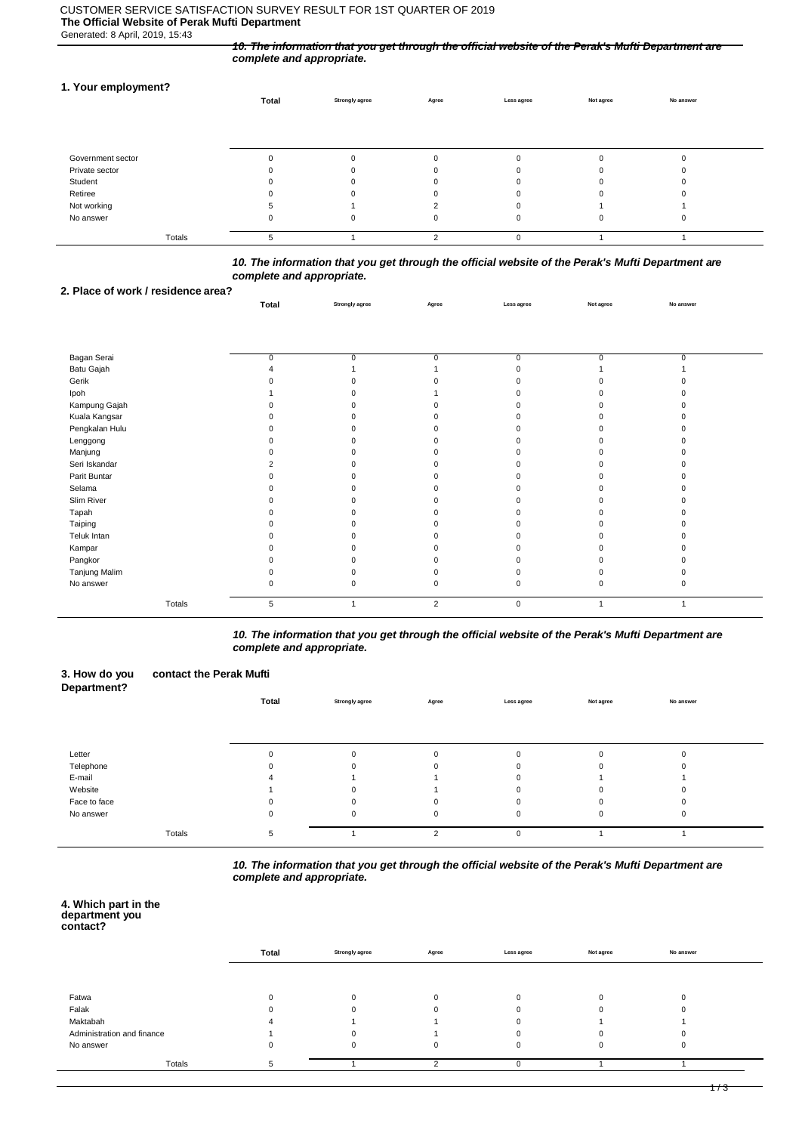#### CUSTOMER SERVICE SATISFACTION SURVEY RESULT FOR 1ST QUARTER OF 2019 **The Official Website of Perak Mufti Department** Generated: 8 April, 2019, 15:43

*10. The information that you get through the official website of the Perak's Mufti Department are complete and appropriate.*

### **1. Your employment?**

|                   | Total | <b>Strongly agree</b> | Agree | Less agree   | Not agree | No answer |  |
|-------------------|-------|-----------------------|-------|--------------|-----------|-----------|--|
|                   |       |                       |       |              |           |           |  |
|                   |       |                       |       |              |           |           |  |
| Government sector |       |                       |       | $\Omega$     |           |           |  |
| Private sector    |       |                       |       |              |           |           |  |
| Student           |       |                       |       | 0            |           |           |  |
| Retiree           |       |                       |       | 0            |           |           |  |
| Not working       |       |                       |       | 0            |           |           |  |
| No answer         |       |                       |       | $\mathbf{0}$ | 0         |           |  |
| Totals            | 5     |                       |       | $\Omega$     |           |           |  |

# *10. The information that you get through the official website of the Perak's Mufti Department are complete and appropriate.*

**Total Strongly agree Agree Less agree Not agree No answer**

# **2. Place of work / residence area?**

| Bagan Serai    | 0 | 0 |                | 0         | 0 |  |
|----------------|---|---|----------------|-----------|---|--|
| Batu Gajah     |   |   |                |           |   |  |
| Gerik          |   |   |                |           |   |  |
| Ipoh           |   |   |                |           |   |  |
| Kampung Gajah  |   |   |                |           |   |  |
| Kuala Kangsar  |   |   |                |           |   |  |
| Pengkalan Hulu |   |   |                |           |   |  |
| Lenggong       |   |   |                |           |   |  |
| Manjung        |   |   |                |           |   |  |
| Seri Iskandar  |   | n |                |           |   |  |
| Parit Buntar   |   |   |                |           |   |  |
| Selama         |   |   |                |           |   |  |
| Slim River     |   |   |                |           |   |  |
| Tapah          |   |   |                |           |   |  |
| Taiping        |   |   |                |           |   |  |
| Teluk Intan    |   | n |                |           |   |  |
| Kampar         |   |   |                |           |   |  |
| Pangkor        |   |   |                |           |   |  |
| Tanjung Malim  |   |   |                |           |   |  |
| No answer      |   | n |                |           |   |  |
| Totals         | 5 |   | $\overline{2}$ | $\pmb{0}$ | 1 |  |

*10. The information that you get through the official website of the Perak's Mufti Department are complete and appropriate.*

#### **3. How do you contact the Perak Mufti Department? Total Strongly agree Agree Less agree Not agree No answer**

| Letter       |        |  |  |  |  |
|--------------|--------|--|--|--|--|
| Telephone    |        |  |  |  |  |
| E-mail       |        |  |  |  |  |
| Website      |        |  |  |  |  |
| Face to face |        |  |  |  |  |
| No answer    |        |  |  |  |  |
|              |        |  |  |  |  |
|              | Totals |  |  |  |  |

*10. The information that you get through the official website of the Perak's Mufti Department are complete and appropriate.*

#### **4. Which part in the department you contact?**

|                            | Total | <b>Strongly agree</b> | Agree | Less agree | Not agree | No answer |  |
|----------------------------|-------|-----------------------|-------|------------|-----------|-----------|--|
|                            |       |                       |       |            |           |           |  |
| Fatwa                      |       |                       |       |            |           |           |  |
| Falak                      |       |                       |       |            |           |           |  |
| Maktabah                   |       |                       |       |            |           |           |  |
| Administration and finance |       |                       |       |            |           |           |  |
| No answer                  |       |                       |       |            |           |           |  |
| Totals                     |       |                       |       |            |           |           |  |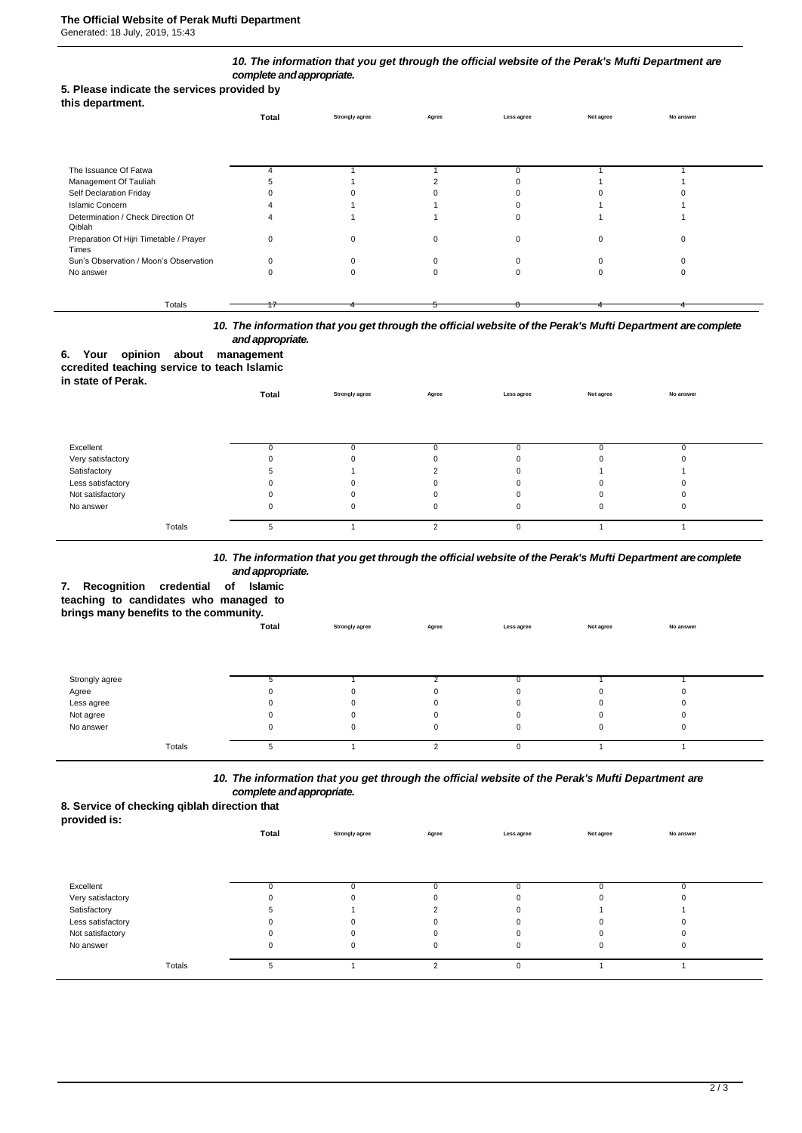## *10. The information that you get through the official website of the Perak's Mufti Department are complete andappropriate.*

#### **5. Please indicate the services provided by this department.**

| .                                                | Total | <b>Strongly agree</b> | Agree | Less agree | Not agree | No answer |  |
|--------------------------------------------------|-------|-----------------------|-------|------------|-----------|-----------|--|
|                                                  |       |                       |       |            |           |           |  |
| The Issuance Of Fatwa                            |       |                       |       |            |           |           |  |
| Management Of Tauliah                            |       |                       |       |            |           |           |  |
| Self Declaration Friday                          |       |                       |       |            |           |           |  |
| <b>Islamic Concern</b>                           |       |                       |       |            |           |           |  |
| Determination / Check Direction Of<br>Qiblah     |       |                       |       | $\Omega$   |           |           |  |
| Preparation Of Hijri Timetable / Prayer<br>Times |       |                       |       | $\Omega$   | ŋ         |           |  |
| Sun's Observation / Moon's Observation           |       |                       |       | $\Omega$   |           |           |  |
| No answer                                        |       |                       | 0     | $\Omega$   |           |           |  |
| Totals                                           |       |                       |       |            |           |           |  |
|                                                  | 17    |                       |       |            |           |           |  |

*10. The information that you get through the official website of the Perak's Mufti Department arecomplete and appropriate.*

# **6. Your opinion about management**

**ccredited teaching service to teach Islamic in state of Perak.**

| $III$ state VI I GIAN. | Total | <b>Strongly agree</b> | Agree         | Less agree | Not agree | No answer |  |
|------------------------|-------|-----------------------|---------------|------------|-----------|-----------|--|
|                        |       |                       |               |            |           |           |  |
| Excellent              |       |                       |               |            |           |           |  |
| Very satisfactory      |       |                       |               | 0          | 0         |           |  |
| Satisfactory           |       |                       |               | 0          |           |           |  |
| Less satisfactory      |       | 0                     |               | 0          | 0         | 0         |  |
| Not satisfactory       |       |                       |               | 0          | 0         |           |  |
| No answer              | υ     | 0                     |               | 0          | 0         | 0         |  |
| Totals                 | 5     |                       | $\mathcal{L}$ | 0          |           |           |  |

# *10. The information that you get through the official website of the Perak's Mufti Department arecomplete and appropriate.*

**7. Recognition credential of Islamic teaching to candidates who managed to brings many benefits to the community.**

| <b>Drings many benefits to the community.</b> |       |                       |       |              |           |           |  |
|-----------------------------------------------|-------|-----------------------|-------|--------------|-----------|-----------|--|
|                                               | Total | <b>Strongly agree</b> | Agree | Less agree   | Not agree | No answer |  |
|                                               |       |                       |       |              |           |           |  |
|                                               |       |                       |       |              |           |           |  |
|                                               |       |                       |       |              |           |           |  |
| Strongly agree                                |       |                       |       |              |           |           |  |
| Agree                                         |       | $\Omega$              | 0     | 0            | $\Omega$  |           |  |
| Less agree                                    |       | $\Omega$              | 0     | 0            | $\Omega$  |           |  |
| Not agree                                     |       | 0                     | 0     | 0            |           |           |  |
| No answer                                     | υ     | 0                     | 0     | 0            |           |           |  |
|                                               |       |                       |       |              |           |           |  |
| Totals                                        |       |                       |       | <sup>0</sup> |           |           |  |

*10. The information that you get through the official website of the Perak's Mufti Department are complete andappropriate.*

**8. Service of checking qiblah direction that** 

| provided is:      |       |                       |        |             |           |           |  |
|-------------------|-------|-----------------------|--------|-------------|-----------|-----------|--|
|                   | Total | <b>Strongly agree</b> | Agree  | Less agree  | Not agree | No answer |  |
|                   |       |                       |        |             |           |           |  |
|                   |       |                       |        |             |           |           |  |
|                   |       |                       |        |             |           |           |  |
| Excellent         |       |                       |        |             |           |           |  |
| Very satisfactory |       |                       |        |             |           |           |  |
| Satisfactory      |       |                       |        | O           |           |           |  |
| Less satisfactory |       |                       |        |             |           |           |  |
| Not satisfactory  |       |                       |        |             |           |           |  |
| No answer         |       |                       |        | $\mathbf 0$ | O         |           |  |
| Totals            | b.    |                       | $\sim$ | $\mathbf 0$ |           |           |  |